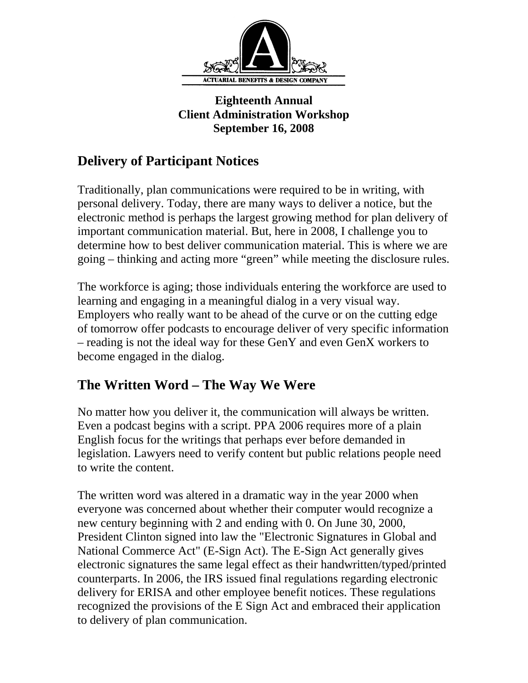

## **Eighteenth Annual Client Administration Workshop September 16, 2008**

# **Delivery of Participant Notices**

Traditionally, plan communications were required to be in writing, with personal delivery. Today, there are many ways to deliver a notice, but the electronic method is perhaps the largest growing method for plan delivery of important communication material. But, here in 2008, I challenge you to determine how to best deliver communication material. This is where we are going – thinking and acting more "green" while meeting the disclosure rules.

The workforce is aging; those individuals entering the workforce are used to learning and engaging in a meaningful dialog in a very visual way. Employers who really want to be ahead of the curve or on the cutting edge of tomorrow offer podcasts to encourage deliver of very specific information – reading is not the ideal way for these GenY and even GenX workers to become engaged in the dialog.

# **The Written Word – The Way We Were**

No matter how you deliver it, the communication will always be written. Even a podcast begins with a script. PPA 2006 requires more of a plain English focus for the writings that perhaps ever before demanded in legislation. Lawyers need to verify content but public relations people need to write the content.

The written word was altered in a dramatic way in the year 2000 when everyone was concerned about whether their computer would recognize a new century beginning with 2 and ending with 0. On June 30, 2000, President Clinton signed into law the "Electronic Signatures in Global and National Commerce Act" (E-Sign Act). The E-Sign Act generally gives electronic signatures the same legal effect as their handwritten/typed/printed counterparts. In 2006, the IRS issued final regulations regarding electronic delivery for ERISA and other employee benefit notices. These regulations recognized the provisions of the E Sign Act and embraced their application to delivery of plan communication.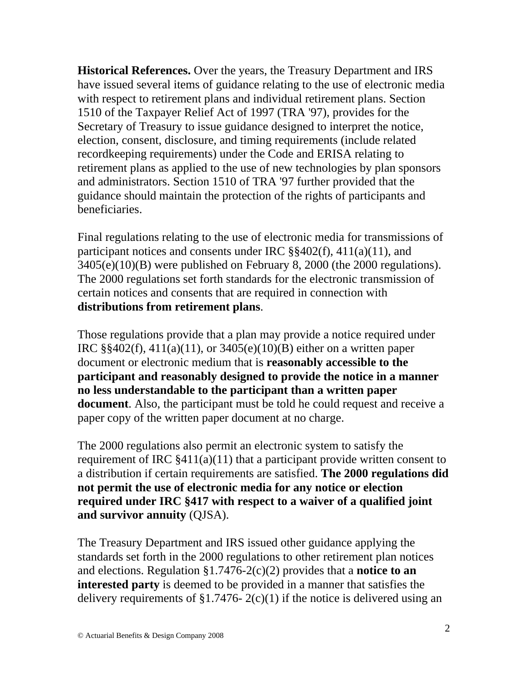**Historical References.** Over the years, the Treasury Department and IRS have issued several items of guidance relating to the use of electronic media with respect to retirement plans and individual retirement plans. Section 1510 of the Taxpayer Relief Act of 1997 (TRA '97), provides for the Secretary of Treasury to issue guidance designed to interpret the notice, election, consent, disclosure, and timing requirements (include related recordkeeping requirements) under the Code and ERISA relating to retirement plans as applied to the use of new technologies by plan sponsors and administrators. Section 1510 of TRA '97 further provided that the guidance should maintain the protection of the rights of participants and beneficiaries.

Final regulations relating to the use of electronic media for transmissions of participant notices and consents under IRC  $\S$ §402(f), 411(a)(11), and 3405(e)(10)(B) were published on February 8, 2000 (the 2000 regulations). The 2000 regulations set forth standards for the electronic transmission of certain notices and consents that are required in connection with **distributions from retirement plans**.

Those regulations provide that a plan may provide a notice required under IRC  $\S$ §402(f), 411(a)(11), or 3405(e)(10)(B) either on a written paper document or electronic medium that is **reasonably accessible to the participant and reasonably designed to provide the notice in a manner no less understandable to the participant than a written paper document**. Also, the participant must be told he could request and receive a paper copy of the written paper document at no charge.

The 2000 regulations also permit an electronic system to satisfy the requirement of IRC  $§411(a)(11)$  that a participant provide written consent to a distribution if certain requirements are satisfied. **The 2000 regulations did not permit the use of electronic media for any notice or election required under IRC §417 with respect to a waiver of a qualified joint and survivor annuity** (QJSA).

The Treasury Department and IRS issued other guidance applying the standards set forth in the 2000 regulations to other retirement plan notices and elections. Regulation §1.7476-2(c)(2) provides that a **notice to an interested party** is deemed to be provided in a manner that satisfies the delivery requirements of  $\S1.7476 - 2(c)(1)$  if the notice is delivered using an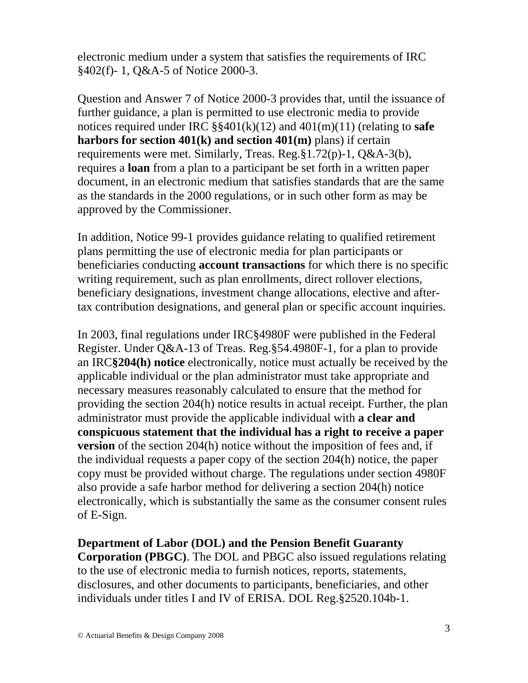electronic medium under a system that satisfies the requirements of IRC §402(f)- 1, Q&A-5 of Notice 2000-3.

Question and Answer 7 of Notice 2000-3 provides that, until the issuance of further guidance, a plan is permitted to use electronic media to provide notices required under IRC §§401(k)(12) and 401(m)(11) (relating to **safe harbors for section 401(k) and section 401(m)** plans) if certain requirements were met. Similarly, Treas. Reg.§1.72(p)-1, Q&A-3(b), requires a **loan** from a plan to a participant be set forth in a written paper document, in an electronic medium that satisfies standards that are the same as the standards in the 2000 regulations, or in such other form as may be approved by the Commissioner.

In addition, Notice 99-1 provides guidance relating to qualified retirement plans permitting the use of electronic media for plan participants or beneficiaries conducting **account transactions** for which there is no specific writing requirement, such as plan enrollments, direct rollover elections, beneficiary designations, investment change allocations, elective and aftertax contribution designations, and general plan or specific account inquiries.

In 2003, final regulations under IRC§4980F were published in the Federal Register. Under Q&A-13 of Treas. Reg.§54.4980F-1, for a plan to provide an IRC**§204(h) notice** electronically, notice must actually be received by the applicable individual or the plan administrator must take appropriate and necessary measures reasonably calculated to ensure that the method for providing the section 204(h) notice results in actual receipt. Further, the plan administrator must provide the applicable individual with **a clear and conspicuous statement that the individual has a right to receive a paper version** of the section 204(h) notice without the imposition of fees and, if the individual requests a paper copy of the section 204(h) notice, the paper copy must be provided without charge. The regulations under section 4980F also provide a safe harbor method for delivering a section 204(h) notice electronically, which is substantially the same as the consumer consent rules of E-Sign.

### **Department of Labor (DOL) and the Pension Benefit Guaranty**

**Corporation (PBGC)**. The DOL and PBGC also issued regulations relating to the use of electronic media to furnish notices, reports, statements, disclosures, and other documents to participants, beneficiaries, and other individuals under titles I and IV of ERISA. DOL Reg.§2520.104b-1.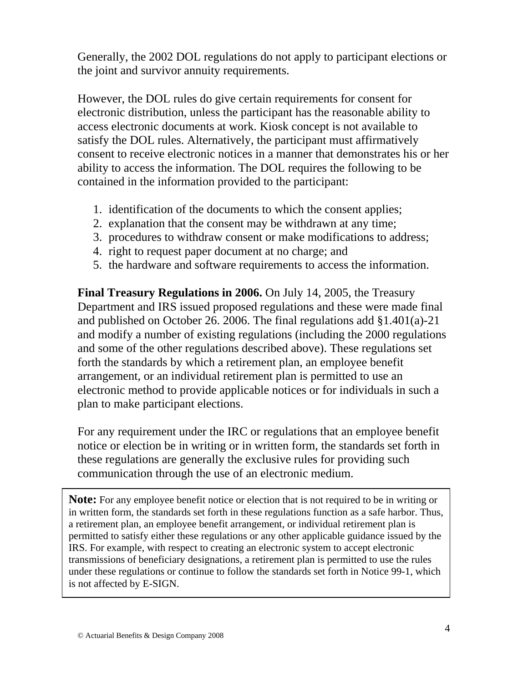Generally, the 2002 DOL regulations do not apply to participant elections or the joint and survivor annuity requirements.

However, the DOL rules do give certain requirements for consent for electronic distribution, unless the participant has the reasonable ability to access electronic documents at work. Kiosk concept is not available to satisfy the DOL rules. Alternatively, the participant must affirmatively consent to receive electronic notices in a manner that demonstrates his or her ability to access the information. The DOL requires the following to be contained in the information provided to the participant:

- 1. identification of the documents to which the consent applies;
- 2. explanation that the consent may be withdrawn at any time;
- 3. procedures to withdraw consent or make modifications to address;
- 4. right to request paper document at no charge; and
- 5. the hardware and software requirements to access the information.

**Final Treasury Regulations in 2006.** On July 14, 2005, the Treasury Department and IRS issued proposed regulations and these were made final and published on October 26. 2006. The final regulations add §1.401(a)-21 and modify a number of existing regulations (including the 2000 regulations and some of the other regulations described above). These regulations set forth the standards by which a retirement plan, an employee benefit arrangement, or an individual retirement plan is permitted to use an electronic method to provide applicable notices or for individuals in such a plan to make participant elections.

For any requirement under the IRC or regulations that an employee benefit notice or election be in writing or in written form, the standards set forth in these regulations are generally the exclusive rules for providing such communication through the use of an electronic medium.

is not affected by E-SIGN. **Note:** For any employee benefit notice or election that is not required to be in writing or in written form, the standards set forth in these regulations function as a safe harbor. Thus, a retirement plan, an employee benefit arrangement, or individual retirement plan is permitted to satisfy either these regulations or any other applicable guidance issued by the IRS. For example, with respect to creating an electronic system to accept electronic transmissions of beneficiary designations, a retirement plan is permitted to use the rules under these regulations or continue to follow the standards set forth in Notice 99-1, which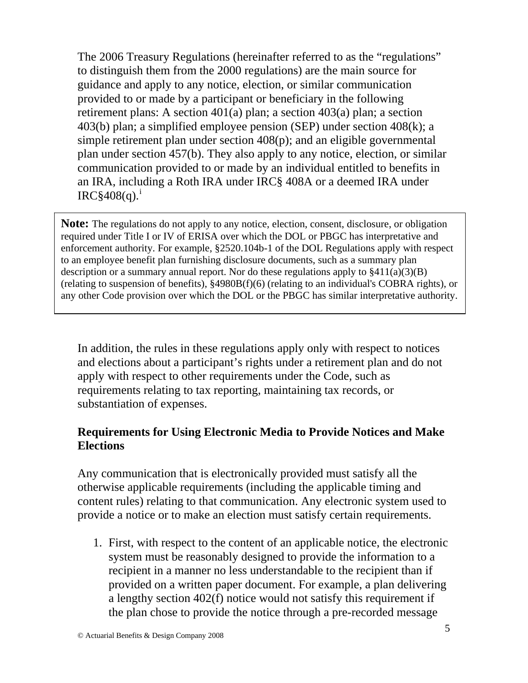The 2006 Treasury Regulations (hereinafter referred to as the "regulations" to distinguish them from the 2000 regulations) are the main source for guidance and apply to any notice, election, or similar communication provided to or made by a participant or beneficiary in the following retirement plans: A section 401(a) plan; a section 403(a) plan; a section 403(b) plan; a simplified employee pension (SEP) under section 408(k); a simple retirement plan under section 408(p); and an eligible governmental plan under section 457(b). They also apply to any notice, election, or similar communication provided to or made by an individual entitled to benefits in an IRA, incl[ud](#page-19-0)ing a Roth IRA under IRC§ 408A or a deemed IRA under IRC§408 $(q)$ .<sup>[i](#page-19-0)</sup>

**Note:** The regulations do not apply to any notice, election, consent, disclosure, or obligation required under Title I or IV of ERISA over which the DOL or PBGC has interpretative and enforcement authority. For example, §2520.104b-1 of the DOL Regulations apply with respect to an employee benefit plan furnishing disclosure documents, such as a summary plan description or a summary annual report. Nor do these regulations apply to  $\frac{2411(a)(3)(B)}{B}$ (relating to suspension of benefits), §4980B(f)(6) (relating to an individual's COBRA rights), or any other Code provision over which the DOL or the PBGC has similar interpretative authority.

In addition, the rules in these regulations apply only with respect to notices and elections about a participant's rights under a retirement plan and do not apply with respect to other requirements under the Code, such as requirements relating to tax reporting, maintaining tax records, or substantiation of expenses.

### **Requirements for Using Electronic Media to Provide Notices and Make Elections**

Any communication that is electronically provided must satisfy all the otherwise applicable requirements (including the applicable timing and content rules) relating to that communication. Any electronic system used to provide a notice or to make an election must satisfy certain requirements.

1. First, with respect to the content of an applicable notice, the electronic system must be reasonably designed to provide the information to a recipient in a manner no less understandable to the recipient than if provided on a written paper document. For example, a plan delivering a lengthy section 402(f) notice would not satisfy this requirement if the plan chose to provide the notice through a pre-recorded message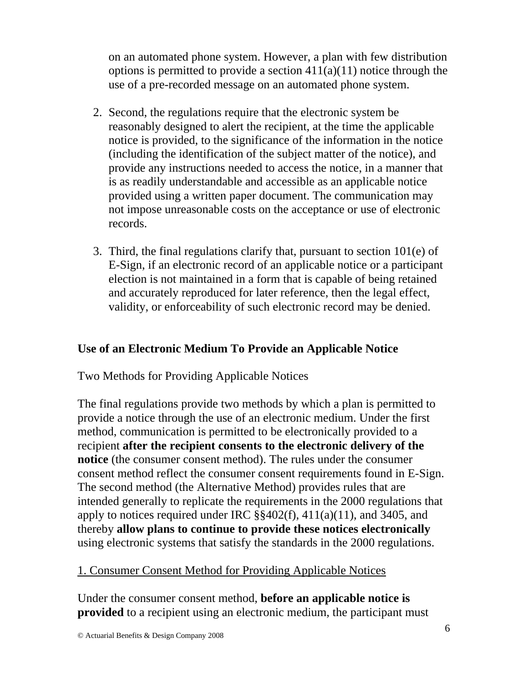on an automated phone system. However, a plan with few distribution options is permitted to provide a section  $411(a)(11)$  notice through the use of a pre-recorded message on an automated phone system.

- 2. Second, the regulations require that the electronic system be reasonably designed to alert the recipient, at the time the applicable notice is provided, to the significance of the information in the notice (including the identification of the subject matter of the notice), and provide any instructions needed to access the notice, in a manner that is as readily understandable and accessible as an applicable notice provided using a written paper document. The communication may not impose unreasonable costs on the acceptance or use of electronic records.
- 3. Third, the final regulations clarify that, pursuant to section 101(e) of E-Sign, if an electronic record of an applicable notice or a participant election is not maintained in a form that is capable of being retained and accurately reproduced for later reference, then the legal effect, validity, or enforceability of such electronic record may be denied.

## **Use of an Electronic Medium To Provide an Applicable Notice**

Two Methods for Providing Applicable Notices

The final regulations provide two methods by which a plan is permitted to provide a notice through the use of an electronic medium. Under the first method, communication is permitted to be electronically provided to a recipient **after the recipient consents to the electronic delivery of the notice** (the consumer consent method). The rules under the consumer consent method reflect the consumer consent requirements found in E-Sign. The second method (the Alternative Method) provides rules that are intended generally to replicate the requirements in the 2000 regulations that apply to notices required under IRC  $\S$ §402(f), 411(a)(11), and 3405, and thereby **allow plans to continue to provide these notices electronically** using electronic systems that satisfy the standards in the 2000 regulations.

## 1. Consumer Consent Method for Providing Applicable Notices

Under the consumer consent method, **before an applicable notice is provided** to a recipient using an electronic medium, the participant must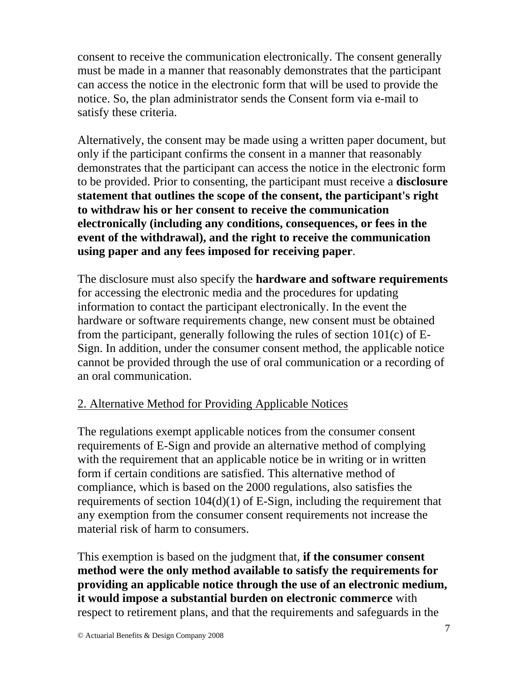consent to receive the communication electronically. The consent generally must be made in a manner that reasonably demonstrates that the participant can access the notice in the electronic form that will be used to provide the notice. So, the plan administrator sends the Consent form via e-mail to satisfy these criteria.

Alternatively, the consent may be made using a written paper document, but only if the participant confirms the consent in a manner that reasonably demonstrates that the participant can access the notice in the electronic form to be provided. Prior to consenting, the participant must receive a **disclosure statement that outlines the scope of the consent, the participant's right to withdraw his or her consent to receive the communication electronically (including any conditions, consequences, or fees in the event of the withdrawal), and the right to receive the communication using paper and any fees imposed for receiving paper**.

The disclosure must also specify the **hardware and software requirements** for accessing the electronic media and the procedures for updating information to contact the participant electronically. In the event the hardware or software requirements change, new consent must be obtained from the participant, generally following the rules of section 101(c) of E-Sign. In addition, under the consumer consent method, the applicable notice cannot be provided through the use of oral communication or a recording of an oral communication.

## 2. Alternative Method for Providing Applicable Notices

The regulations exempt applicable notices from the consumer consent requirements of E-Sign and provide an alternative method of complying with the requirement that an applicable notice be in writing or in written form if certain conditions are satisfied. This alternative method of compliance, which is based on the 2000 regulations, also satisfies the requirements of section 104(d)(1) of E-Sign, including the requirement that any exemption from the consumer consent requirements not increase the material risk of harm to consumers.

This exemption is based on the judgment that, **if the consumer consent method were the only method available to satisfy the requirements for providing an applicable notice through the use of an electronic medium, it would impose a substantial burden on electronic commerce** with respect to retirement plans, and that the requirements and safeguards in the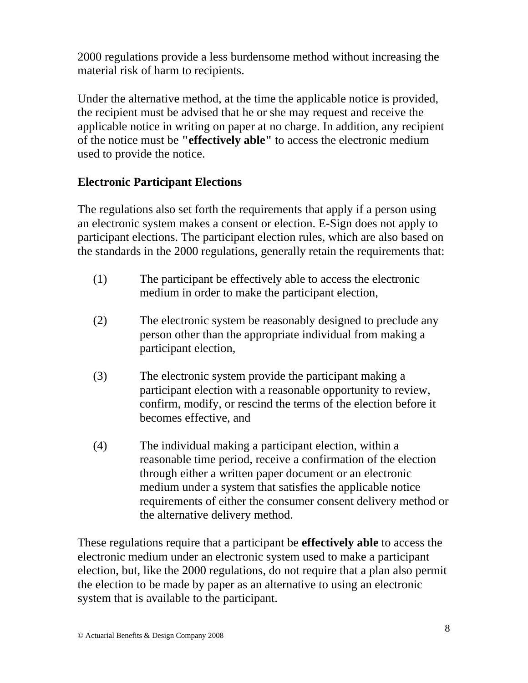2000 regulations provide a less burdensome method without increasing the material risk of harm to recipients.

Under the alternative method, at the time the applicable notice is provided, the recipient must be advised that he or she may request and receive the applicable notice in writing on paper at no charge. In addition, any recipient of the notice must be **"effectively able"** to access the electronic medium used to provide the notice.

## **Electronic Participant Elections**

The regulations also set forth the requirements that apply if a person using an electronic system makes a consent or election. E-Sign does not apply to participant elections. The participant election rules, which are also based on the standards in the 2000 regulations, generally retain the requirements that:

- (1) The participant be effectively able to access the electronic medium in order to make the participant election,
- (2) The electronic system be reasonably designed to preclude any person other than the appropriate individual from making a participant election,
- (3) The electronic system provide the participant making a participant election with a reasonable opportunity to review, confirm, modify, or rescind the terms of the election before it becomes effective, and
- (4) The individual making a participant election, within a reasonable time period, receive a confirmation of the election through either a written paper document or an electronic medium under a system that satisfies the applicable notice requirements of either the consumer consent delivery method or the alternative delivery method.

These regulations require that a participant be **effectively able** to access the electronic medium under an electronic system used to make a participant election, but, like the 2000 regulations, do not require that a plan also permit the election to be made by paper as an alternative to using an electronic system that is available to the participant.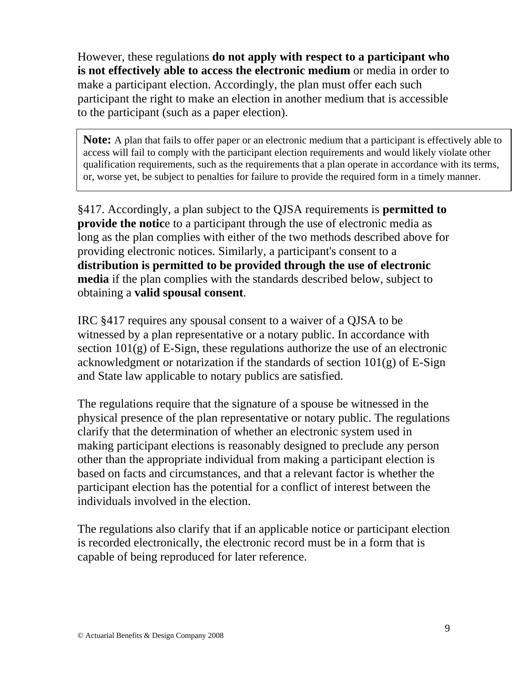However, these regulations **do not apply with respect to a participant who is not effectively able to access the electronic medium** or media in order to make a participant election. Accordingly, the plan must offer each such participant the right to make an election in another medium that is accessible to the participant (such as a paper election).

Note: A plan that fails to offer paper or an electronic medium that a participant is effectively able to qualification requirements, such as the requirements that a plan operate in accordance with its terms, or, worse yet, be subject to penalties for failure to provide the required form in a timely manner. access will fail to comply with the participant election requirements and would likely violate other

§417. Accordingly, a plan subject to the QJSA requirements is **permitted to provide the notice** to a participant through the use of electronic media as long as the plan complies with either of the two methods described above for providing electronic notices. Similarly, a participant's consent to a **distribution is permitted to be provided through the use of electronic media** if the plan complies with the standards described below, subject to obtaining a **valid spousal consent**.

IRC §417 requires any spousal consent to a waiver of a QJSA to be witnessed by a plan representative or a notary public. In accordance with section  $101(g)$  of E-Sign, these regulations authorize the use of an electronic acknowledgment or notarization if the standards of section 101(g) of E-Sign and State law applicable to notary publics are satisfied.

The regulations require that the signature of a spouse be witnessed in the physical presence of the plan representative or notary public. The regulations clarify that the determination of whether an electronic system used in making participant elections is reasonably designed to preclude any person other than the appropriate individual from making a participant election is based on facts and circumstances, and that a relevant factor is whether the participant election has the potential for a conflict of interest between the individuals involved in the election.

The regulations also clarify that if an applicable notice or participant election is recorded electronically, the electronic record must be in a form that is capable of being reproduced for later reference.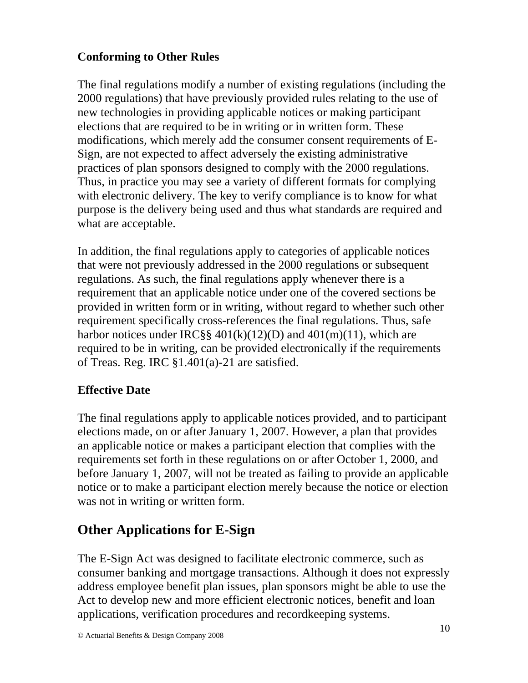## **Conforming to Other Rules**

The final regulations modify a number of existing regulations (including the 2000 regulations) that have previously provided rules relating to the use of new technologies in providing applicable notices or making participant elections that are required to be in writing or in written form. These modifications, which merely add the consumer consent requirements of E-Sign, are not expected to affect adversely the existing administrative practices of plan sponsors designed to comply with the 2000 regulations. Thus, in practice you may see a variety of different formats for complying with electronic delivery. The key to verify compliance is to know for what purpose is the delivery being used and thus what standards are required and what are acceptable.

In addition, the final regulations apply to categories of applicable notices that were not previously addressed in the 2000 regulations or subsequent regulations. As such, the final regulations apply whenever there is a requirement that an applicable notice under one of the covered sections be provided in written form or in writing, without regard to whether such other requirement specifically cross-references the final regulations. Thus, safe harbor notices under IRC§§  $401(k)(12)(D)$  and  $401(m)(11)$ , which are required to be in writing, can be provided electronically if the requirements of Treas. Reg. IRC §1.401(a)-21 are satisfied.

## **Effective Date**

The final regulations apply to applicable notices provided, and to participant elections made, on or after January 1, 2007. However, a plan that provides an applicable notice or makes a participant election that complies with the requirements set forth in these regulations on or after October 1, 2000, and before January 1, 2007, will not be treated as failing to provide an applicable notice or to make a participant election merely because the notice or election was not in writing or written form.

# **Other Applications for E-Sign**

The E-Sign Act was designed to facilitate electronic commerce, such as consumer banking and mortgage transactions. Although it does not expressly address employee benefit plan issues, plan sponsors might be able to use the Act to develop new and more efficient electronic notices, benefit and loan applications, verification procedures and recordkeeping systems.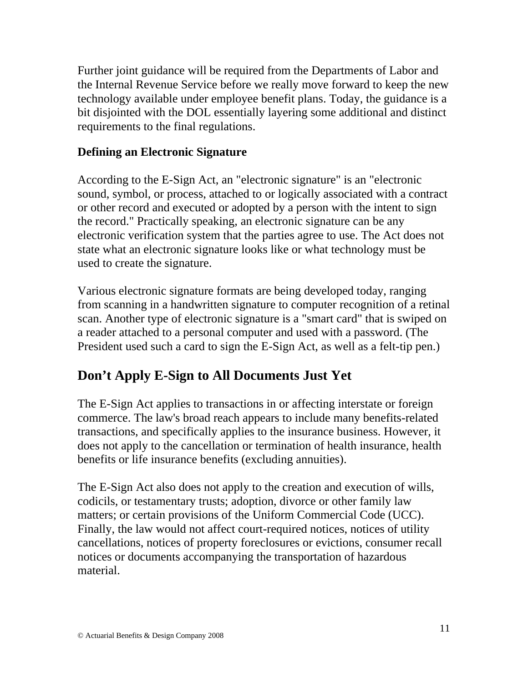Further joint guidance will be required from the Departments of Labor and the Internal Revenue Service before we really move forward to keep the new technology available under employee benefit plans. Today, the guidance is a bit disjointed with the DOL essentially layering some additional and distinct requirements to the final regulations.

### **Defining an Electronic Signature**

According to the E-Sign Act, an "electronic signature" is an "electronic sound, symbol, or process, attached to or logically associated with a contract or other record and executed or adopted by a person with the intent to sign the record." Practically speaking, an electronic signature can be any electronic verification system that the parties agree to use. The Act does not state what an electronic signature looks like or what technology must be used to create the signature.

Various electronic signature formats are being developed today, ranging from scanning in a handwritten signature to computer recognition of a retinal scan. Another type of electronic signature is a "smart card" that is swiped on a reader attached to a personal computer and used with a password. (The President used such a card to sign the E-Sign Act, as well as a felt-tip pen.)

## **Don't Apply E-Sign to All Documents Just Yet**

The E-Sign Act applies to transactions in or affecting interstate or foreign commerce. The law's broad reach appears to include many benefits-related transactions, and specifically applies to the insurance business. However, it does not apply to the cancellation or termination of health insurance, health benefits or life insurance benefits (excluding annuities).

The E-Sign Act also does not apply to the creation and execution of wills, codicils, or testamentary trusts; adoption, divorce or other family law matters; or certain provisions of the Uniform Commercial Code (UCC). Finally, the law would not affect court-required notices, notices of utility cancellations, notices of property foreclosures or evictions, consumer recall notices or documents accompanying the transportation of hazardous material.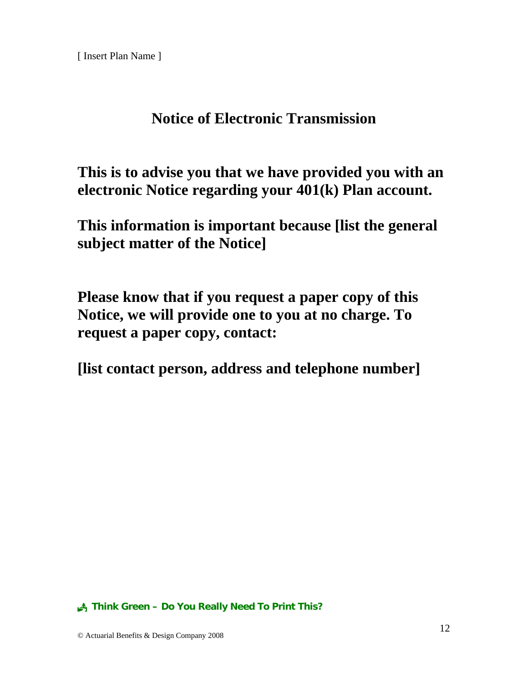# **Notice of Electronic Transmission**

**This is to advise you that we have provided you with an electronic Notice regarding your 401(k) Plan account.** 

**This information is important because [list the general subject matter of the Notice]** 

**Please know that if you request a paper copy of this Notice, we will provide one to you at no charge. To request a paper copy, contact:** 

**[list contact person, address and telephone number]**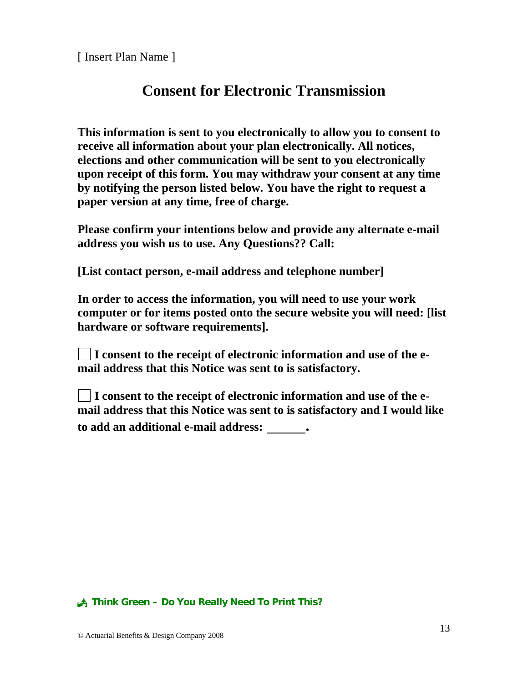# **Consent for Electronic Transmission**

**This information is sent to you electronically to allow you to consent to receive all information about your plan electronically. All notices, elections and other communication will be sent to you electronically upon receipt of this form. You may withdraw your consent at any time by notifying the person listed below. You have the right to request a paper version at any time, free of charge.** 

**Please confirm your intentions below and provide any alternate e-mail address you wish us to use. Any Questions?? Call:** 

**[List contact person, e-mail address and telephone number]** 

**In order to access the information, you will need to use your work computer or for items posted onto the secure website you will need: [list hardware or software requirements].** 

 **I consent to the receipt of electronic information and use of the email address that this Notice was sent to is satisfactory.** 

 **I consent to the receipt of electronic information and use of the email address that this Notice was sent to is satisfactory and I would like to add an additional e-mail address: .**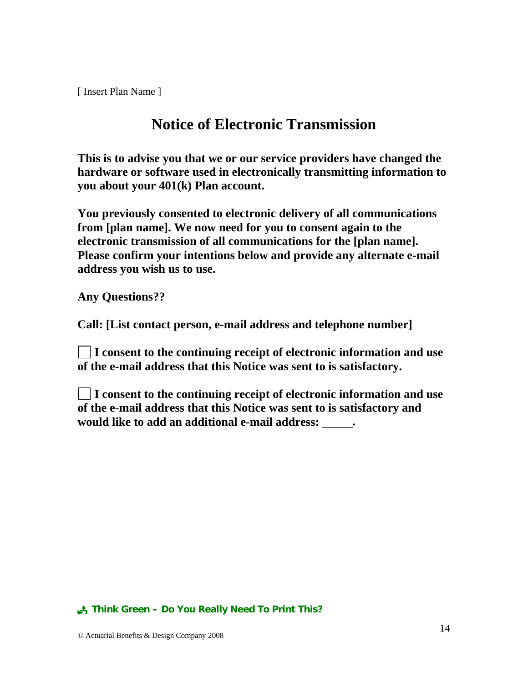# **Notice of Electronic Transmission**

**This is to advise you that we or our service providers have changed the hardware or software used in electronically transmitting information to you about your 401(k) Plan account.** 

**You previously consented to electronic delivery of all communications from [plan name]. We now need for you to consent again to the electronic transmission of all communications for the [plan name]. Please confirm your intentions below and provide any alternate e-mail address you wish us to use.** 

**Any Questions??** 

**Call: [List contact person, e-mail address and telephone number]** 

 **I consent to the continuing receipt of electronic information and use of the e-mail address that this Notice was sent to is satisfactory.** 

 **I consent to the continuing receipt of electronic information and use of the e-mail address that this Notice was sent to is satisfactory and would like to add an additional e-mail address: .**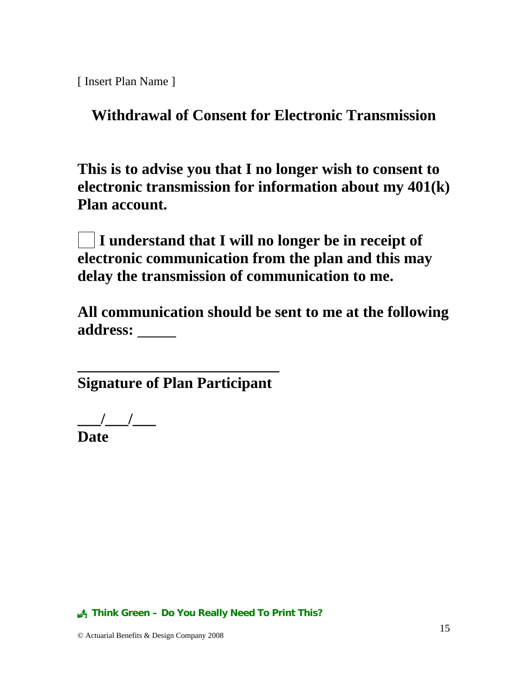**Withdrawal of Consent for Electronic Transmission** 

**This is to advise you that I no longer wish to consent to electronic transmission for information about my 401(k) Plan account.** 

 **I understand that I will no longer be in receipt of electronic communication from the plan and this may delay the transmission of communication to me.** 

**All communication should be sent to me at the following address:** 

**Signature of Plan Participant** 

**\_\_\_\_\_\_\_\_\_\_\_\_\_\_\_\_\_\_\_\_\_\_\_\_\_\_** 

**\_\_\_/\_\_\_/\_\_\_** 

**Date**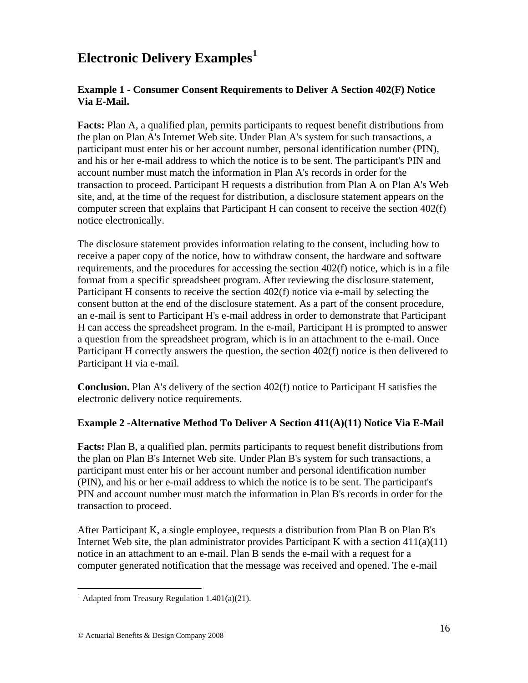## **Electronic Delivery Examples[1](#page-15-0)**

#### **Example 1** - **Consumer Consent Requirements to Deliver A Section 402(F) Notice Via E-Mail.**

**Facts:** Plan A, a qualified plan, permits participants to request benefit distributions from the plan on Plan A's Internet Web site. Under Plan A's system for such transactions, a participant must enter his or her account number, personal identification number (PIN), and his or her e-mail address to which the notice is to be sent. The participant's PIN and account number must match the information in Plan A's records in order for the transaction to proceed. Participant H requests a distribution from Plan A on Plan A's Web site, and, at the time of the request for distribution, a disclosure statement appears on the computer screen that explains that Participant H can consent to receive the section 402(f) notice electronically.

The disclosure statement provides information relating to the consent, including how to receive a paper copy of the notice, how to withdraw consent, the hardware and software requirements, and the procedures for accessing the section 402(f) notice, which is in a file format from a specific spreadsheet program. After reviewing the disclosure statement, Participant H consents to receive the section 402(f) notice via e-mail by selecting the consent button at the end of the disclosure statement. As a part of the consent procedure, an e-mail is sent to Participant H's e-mail address in order to demonstrate that Participant H can access the spreadsheet program. In the e-mail, Participant H is prompted to answer a question from the spreadsheet program, which is in an attachment to the e-mail. Once Participant H correctly answers the question, the section 402(f) notice is then delivered to Participant H via e-mail.

**Conclusion.** Plan A's delivery of the section 402(f) notice to Participant H satisfies the electronic delivery notice requirements.

#### **Example 2 -Alternative Method To Deliver A Section 411(A)(11) Notice Via E-Mail**

**Facts:** Plan B, a qualified plan, permits participants to request benefit distributions from the plan on Plan B's Internet Web site. Under Plan B's system for such transactions, a participant must enter his or her account number and personal identification number (PIN), and his or her e-mail address to which the notice is to be sent. The participant's PIN and account number must match the information in Plan B's records in order for the transaction to proceed.

After Participant K, a single employee, requests a distribution from Plan B on Plan B's Internet Web site, the plan administrator provides Participant K with a section  $411(a)(11)$ notice in an attachment to an e-mail. Plan B sends the e-mail with a request for a computer generated notification that the message was received and opened. The e-mail

 $\overline{a}$ 

<span id="page-15-0"></span><sup>&</sup>lt;sup>1</sup> Adapted from Treasury Regulation 1.401(a)(21).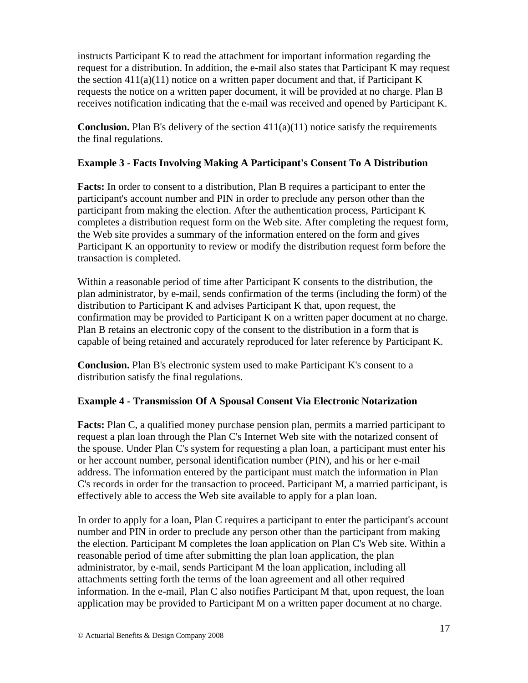instructs Participant K to read the attachment for important information regarding the request for a distribution. In addition, the e-mail also states that Participant K may request the section  $411(a)(11)$  notice on a written paper document and that, if Participant K requests the notice on a written paper document, it will be provided at no charge. Plan B receives notification indicating that the e-mail was received and opened by Participant K.

**Conclusion.** Plan B's delivery of the section  $411(a)(11)$  notice satisfy the requirements the final regulations.

#### **Example 3 - Facts Involving Making A Participant's Consent To A Distribution**

**Facts:** In order to consent to a distribution, Plan B requires a participant to enter the participant's account number and PIN in order to preclude any person other than the participant from making the election. After the authentication process, Participant K completes a distribution request form on the Web site. After completing the request form, the Web site provides a summary of the information entered on the form and gives Participant K an opportunity to review or modify the distribution request form before the transaction is completed.

Within a reasonable period of time after Participant K consents to the distribution, the plan administrator, by e-mail, sends confirmation of the terms (including the form) of the distribution to Participant K and advises Participant K that, upon request, the confirmation may be provided to Participant K on a written paper document at no charge. Plan B retains an electronic copy of the consent to the distribution in a form that is capable of being retained and accurately reproduced for later reference by Participant K.

**Conclusion.** Plan B's electronic system used to make Participant K's consent to a distribution satisfy the final regulations.

#### **Example 4 - Transmission Of A Spousal Consent Via Electronic Notarization**

**Facts:** Plan C, a qualified money purchase pension plan, permits a married participant to request a plan loan through the Plan C's Internet Web site with the notarized consent of the spouse. Under Plan C's system for requesting a plan loan, a participant must enter his or her account number, personal identification number (PIN), and his or her e-mail address. The information entered by the participant must match the information in Plan C's records in order for the transaction to proceed. Participant M, a married participant, is effectively able to access the Web site available to apply for a plan loan.

In order to apply for a loan, Plan C requires a participant to enter the participant's account number and PIN in order to preclude any person other than the participant from making the election. Participant M completes the loan application on Plan C's Web site. Within a reasonable period of time after submitting the plan loan application, the plan administrator, by e-mail, sends Participant M the loan application, including all attachments setting forth the terms of the loan agreement and all other required information. In the e-mail, Plan C also notifies Participant M that, upon request, the loan application may be provided to Participant M on a written paper document at no charge.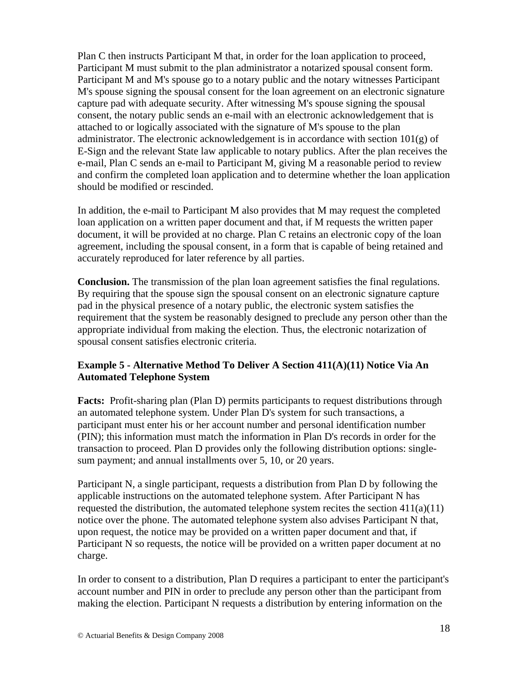Plan C then instructs Participant M that, in order for the loan application to proceed, Participant M must submit to the plan administrator a notarized spousal consent form. Participant M and M's spouse go to a notary public and the notary witnesses Participant M's spouse signing the spousal consent for the loan agreement on an electronic signature capture pad with adequate security. After witnessing M's spouse signing the spousal consent, the notary public sends an e-mail with an electronic acknowledgement that is attached to or logically associated with the signature of M's spouse to the plan administrator. The electronic acknowledgement is in accordance with section 101(g) of E-Sign and the relevant State law applicable to notary publics. After the plan receives the e-mail, Plan C sends an e-mail to Participant M, giving M a reasonable period to review and confirm the completed loan application and to determine whether the loan application should be modified or rescinded.

In addition, the e-mail to Participant M also provides that M may request the completed loan application on a written paper document and that, if M requests the written paper document, it will be provided at no charge. Plan C retains an electronic copy of the loan agreement, including the spousal consent, in a form that is capable of being retained and accurately reproduced for later reference by all parties.

**Conclusion.** The transmission of the plan loan agreement satisfies the final regulations. By requiring that the spouse sign the spousal consent on an electronic signature capture pad in the physical presence of a notary public, the electronic system satisfies the requirement that the system be reasonably designed to preclude any person other than the appropriate individual from making the election. Thus, the electronic notarization of spousal consent satisfies electronic criteria.

#### **Example 5 - Alternative Method To Deliver A Section 411(A)(11) Notice Via An Automated Telephone System**

**Facts:** Profit-sharing plan (Plan D) permits participants to request distributions through an automated telephone system. Under Plan D's system for such transactions, a participant must enter his or her account number and personal identification number (PIN); this information must match the information in Plan D's records in order for the transaction to proceed. Plan D provides only the following distribution options: singlesum payment; and annual installments over 5, 10, or 20 years.

Participant N, a single participant, requests a distribution from Plan D by following the applicable instructions on the automated telephone system. After Participant N has requested the distribution, the automated telephone system recites the section  $411(a)(11)$ notice over the phone. The automated telephone system also advises Participant N that, upon request, the notice may be provided on a written paper document and that, if Participant N so requests, the notice will be provided on a written paper document at no charge.

In order to consent to a distribution, Plan D requires a participant to enter the participant's account number and PIN in order to preclude any person other than the participant from making the election. Participant N requests a distribution by entering information on the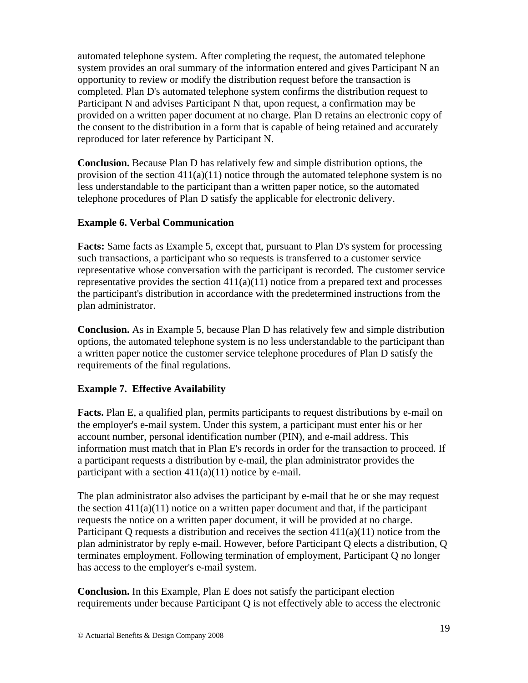automated telephone system. After completing the request, the automated telephone system provides an oral summary of the information entered and gives Participant N an opportunity to review or modify the distribution request before the transaction is completed. Plan D's automated telephone system confirms the distribution request to Participant N and advises Participant N that, upon request, a confirmation may be provided on a written paper document at no charge. Plan D retains an electronic copy of the consent to the distribution in a form that is capable of being retained and accurately reproduced for later reference by Participant N.

**Conclusion.** Because Plan D has relatively few and simple distribution options, the provision of the section  $411(a)(11)$  notice through the automated telephone system is no less understandable to the participant than a written paper notice, so the automated telephone procedures of Plan D satisfy the applicable for electronic delivery.

#### **Example 6. Verbal Communication**

**Facts:** Same facts as Example 5, except that, pursuant to Plan D's system for processing such transactions, a participant who so requests is transferred to a customer service representative whose conversation with the participant is recorded. The customer service representative provides the section  $411(a)(11)$  notice from a prepared text and processes the participant's distribution in accordance with the predetermined instructions from the plan administrator.

**Conclusion.** As in Example 5, because Plan D has relatively few and simple distribution options, the automated telephone system is no less understandable to the participant than a written paper notice the customer service telephone procedures of Plan D satisfy the requirements of the final regulations.

### **Example 7. Effective Availability**

**Facts.** Plan E, a qualified plan, permits participants to request distributions by e-mail on the employer's e-mail system. Under this system, a participant must enter his or her account number, personal identification number (PIN), and e-mail address. This information must match that in Plan E's records in order for the transaction to proceed. If a participant requests a distribution by e-mail, the plan administrator provides the participant with a section  $411(a)(11)$  notice by e-mail.

The plan administrator also advises the participant by e-mail that he or she may request the section  $411(a)(11)$  notice on a written paper document and that, if the participant requests the notice on a written paper document, it will be provided at no charge. Participant Q requests a distribution and receives the section 411(a)(11) notice from the plan administrator by reply e-mail. However, before Participant Q elects a distribution, Q terminates employment. Following termination of employment, Participant Q no longer has access to the employer's e-mail system.

**Conclusion.** In this Example, Plan E does not satisfy the participant election requirements under because Participant Q is not effectively able to access the electronic